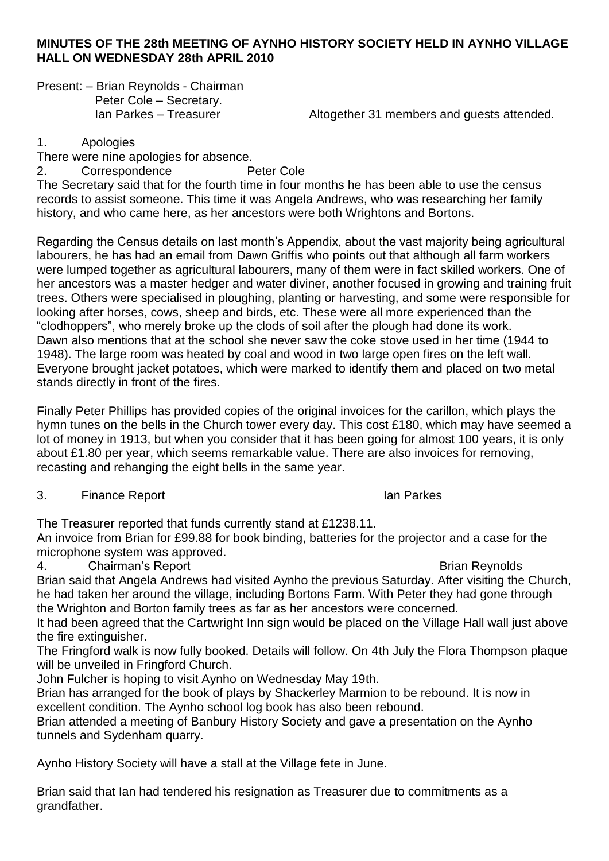## **MINUTES OF THE 28th MEETING OF AYNHO HISTORY SOCIETY HELD IN AYNHO VILLAGE HALL ON WEDNESDAY 28th APRIL 2010**

Present: – Brian Reynolds - Chairman Peter Cole – Secretary.<br>Ian Parkes – Treasurer

Altogether 31 members and guests attended.

1. Apologies

There were nine apologies for absence.

2. Correspondence Peter Cole

The Secretary said that for the fourth time in four months he has been able to use the census records to assist someone. This time it was Angela Andrews, who was researching her family history, and who came here, as her ancestors were both Wrightons and Bortons.

Regarding the Census details on last month's Appendix, about the vast majority being agricultural labourers, he has had an email from Dawn Griffis who points out that although all farm workers were lumped together as agricultural labourers, many of them were in fact skilled workers. One of her ancestors was a master hedger and water diviner, another focused in growing and training fruit trees. Others were specialised in ploughing, planting or harvesting, and some were responsible for looking after horses, cows, sheep and birds, etc. These were all more experienced than the "clodhoppers", who merely broke up the clods of soil after the plough had done its work. Dawn also mentions that at the school she never saw the coke stove used in her time (1944 to 1948). The large room was heated by coal and wood in two large open fires on the left wall. Everyone brought jacket potatoes, which were marked to identify them and placed on two metal stands directly in front of the fires.

Finally Peter Phillips has provided copies of the original invoices for the carillon, which plays the hymn tunes on the bells in the Church tower every day. This cost £180, which may have seemed a lot of money in 1913, but when you consider that it has been going for almost 100 years, it is only about £1.80 per year, which seems remarkable value. There are also invoices for removing, recasting and rehanging the eight bells in the same year.

3. Finance Report **Ian Parkes** 

The Treasurer reported that funds currently stand at £1238.11.

An invoice from Brian for £99.88 for book binding, batteries for the projector and a case for the microphone system was approved.

4. Chairman's Report **Brian Reynolds Brian Reynolds** 

Brian said that Angela Andrews had visited Aynho the previous Saturday. After visiting the Church, he had taken her around the village, including Bortons Farm. With Peter they had gone through the Wrighton and Borton family trees as far as her ancestors were concerned.

It had been agreed that the Cartwright Inn sign would be placed on the Village Hall wall just above the fire extinguisher.

The Fringford walk is now fully booked. Details will follow. On 4th July the Flora Thompson plaque will be unveiled in Fringford Church.

John Fulcher is hoping to visit Aynho on Wednesday May 19th.

Brian has arranged for the book of plays by Shackerley Marmion to be rebound. It is now in excellent condition. The Aynho school log book has also been rebound.

Brian attended a meeting of Banbury History Society and gave a presentation on the Aynho tunnels and Sydenham quarry.

Aynho History Society will have a stall at the Village fete in June.

Brian said that Ian had tendered his resignation as Treasurer due to commitments as a grandfather.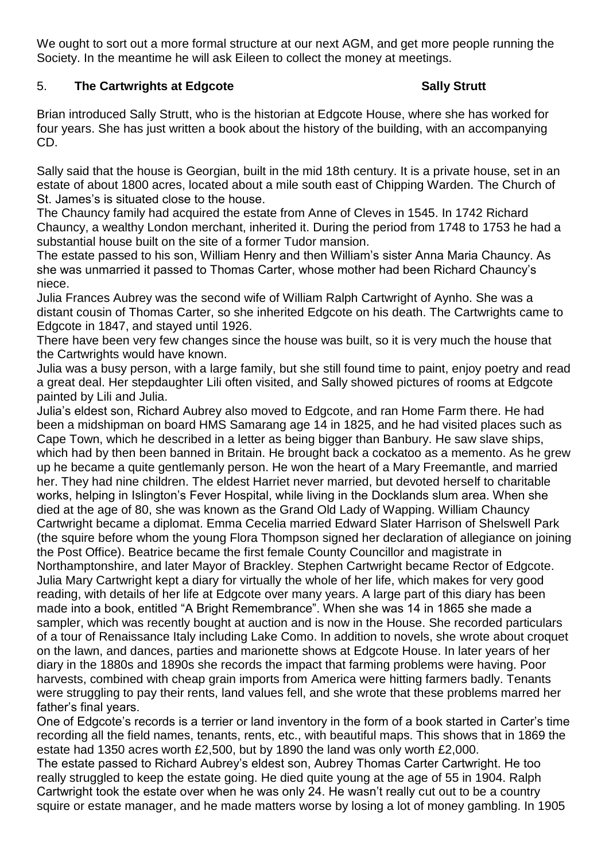We ought to sort out a more formal structure at our next AGM, and get more people running the Society. In the meantime he will ask Eileen to collect the money at meetings.

## 5. The Cartwrights at Edgcote **Sally Strutt** Sally Strutt

Brian introduced Sally Strutt, who is the historian at Edgcote House, where she has worked for four years. She has just written a book about the history of the building, with an accompanying CD.

Sally said that the house is Georgian, built in the mid 18th century. It is a private house, set in an estate of about 1800 acres, located about a mile south east of Chipping Warden. The Church of St. James's is situated close to the house.

The Chauncy family had acquired the estate from Anne of Cleves in 1545. In 1742 Richard Chauncy, a wealthy London merchant, inherited it. During the period from 1748 to 1753 he had a substantial house built on the site of a former Tudor mansion.

The estate passed to his son, William Henry and then William's sister Anna Maria Chauncy. As she was unmarried it passed to Thomas Carter, whose mother had been Richard Chauncy's niece.

Julia Frances Aubrey was the second wife of William Ralph Cartwright of Aynho. She was a distant cousin of Thomas Carter, so she inherited Edgcote on his death. The Cartwrights came to Edgcote in 1847, and stayed until 1926.

There have been very few changes since the house was built, so it is very much the house that the Cartwrights would have known.

Julia was a busy person, with a large family, but she still found time to paint, enjoy poetry and read a great deal. Her stepdaughter Lili often visited, and Sally showed pictures of rooms at Edgcote painted by Lili and Julia.

Julia's eldest son, Richard Aubrey also moved to Edgcote, and ran Home Farm there. He had been a midshipman on board HMS Samarang age 14 in 1825, and he had visited places such as Cape Town, which he described in a letter as being bigger than Banbury. He saw slave ships, which had by then been banned in Britain. He brought back a cockatoo as a memento. As he grew up he became a quite gentlemanly person. He won the heart of a Mary Freemantle, and married her. They had nine children. The eldest Harriet never married, but devoted herself to charitable works, helping in Islington's Fever Hospital, while living in the Docklands slum area. When she died at the age of 80, she was known as the Grand Old Lady of Wapping. William Chauncy Cartwright became a diplomat. Emma Cecelia married Edward Slater Harrison of Shelswell Park (the squire before whom the young Flora Thompson signed her declaration of allegiance on joining the Post Office). Beatrice became the first female County Councillor and magistrate in Northamptonshire, and later Mayor of Brackley. Stephen Cartwright became Rector of Edgcote. Julia Mary Cartwright kept a diary for virtually the whole of her life, which makes for very good reading, with details of her life at Edgcote over many years. A large part of this diary has been made into a book, entitled "A Bright Remembrance". When she was 14 in 1865 she made a sampler, which was recently bought at auction and is now in the House. She recorded particulars of a tour of Renaissance Italy including Lake Como. In addition to novels, she wrote about croquet on the lawn, and dances, parties and marionette shows at Edgcote House. In later years of her diary in the 1880s and 1890s she records the impact that farming problems were having. Poor harvests, combined with cheap grain imports from America were hitting farmers badly. Tenants were struggling to pay their rents, land values fell, and she wrote that these problems marred her father's final years.

One of Edgcote's records is a terrier or land inventory in the form of a book started in Carter's time recording all the field names, tenants, rents, etc., with beautiful maps. This shows that in 1869 the estate had 1350 acres worth £2,500, but by 1890 the land was only worth £2,000.

The estate passed to Richard Aubrey's eldest son, Aubrey Thomas Carter Cartwright. He too really struggled to keep the estate going. He died quite young at the age of 55 in 1904. Ralph Cartwright took the estate over when he was only 24. He wasn't really cut out to be a country squire or estate manager, and he made matters worse by losing a lot of money gambling. In 1905